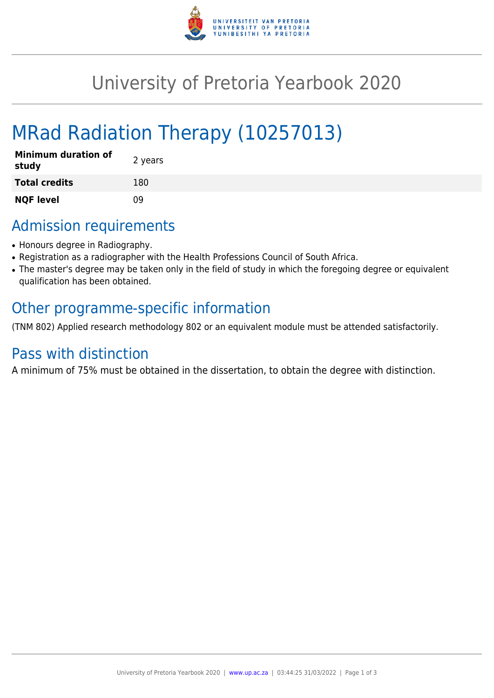

## University of Pretoria Yearbook 2020

# MRad Radiation Therapy (10257013)

| <b>Minimum duration of</b><br>study | 2 years |
|-------------------------------------|---------|
| <b>Total credits</b>                | 180     |
| <b>NQF level</b>                    | nq      |

### Admission requirements

- Honours degree in Radiography.
- Registration as a radiographer with the Health Professions Council of South Africa.
- The master's degree may be taken only in the field of study in which the foregoing degree or equivalent qualification has been obtained.

### Other programme-specific information

(TNM 802) Applied research methodology 802 or an equivalent module must be attended satisfactorily.

#### Pass with distinction

A minimum of 75% must be obtained in the dissertation, to obtain the degree with distinction.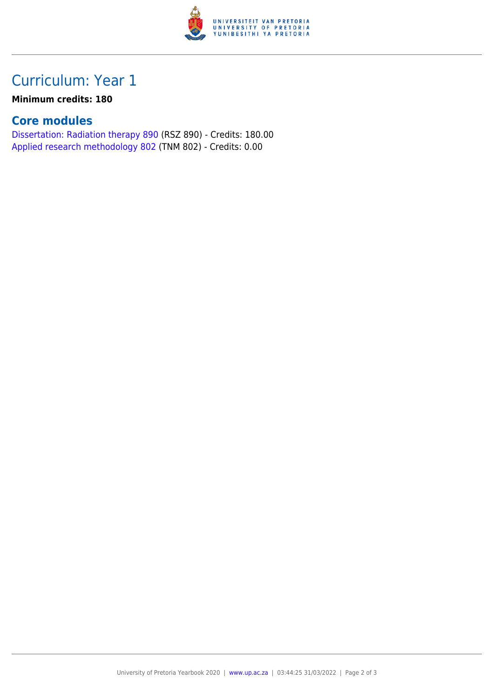

### Curriculum: Year 1

#### **Minimum credits: 180**

#### **Core modules**

[Dissertation: Radiation therapy 890](https://www.up.ac.za/mechanical-and-aeronautical-engineering/yearbooks/2020/modules/view/RSZ 890) (RSZ 890) - Credits: 180.00 [Applied research methodology 802](https://www.up.ac.za/mechanical-and-aeronautical-engineering/yearbooks/2020/modules/view/TNM 802) (TNM 802) - Credits: 0.00